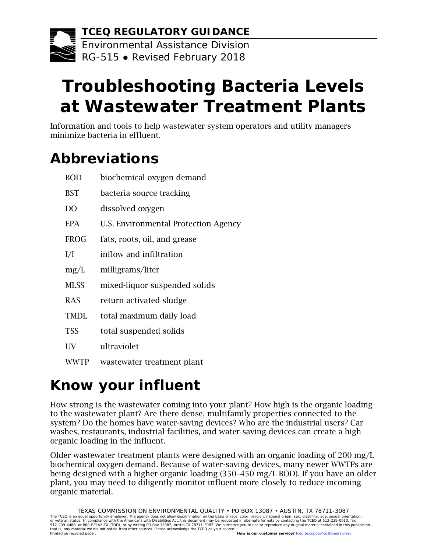

# **Troubleshooting Bacteria Levels at Wastewater Treatment Plants**

Information and tools to help wastewater system operators and utility managers minimize bacteria in effluent.

## **Abbreviations**

| <b>BOD</b>     | biochemical oxygen demand            |
|----------------|--------------------------------------|
| <b>BST</b>     | bacteria source tracking             |
| D <sub>O</sub> | dissolved oxygen                     |
| <b>EPA</b>     | U.S. Environmental Protection Agency |
| <b>FROG</b>    | fats, roots, oil, and grease         |
| I/I            | inflow and infiltration              |
| mg/L           | milligrams/liter                     |
| <b>MLSS</b>    | mixed-liquor suspended solids        |
| <b>RAS</b>     | return activated sludge              |
| <b>TMDL</b>    | total maximum daily load             |
| <b>TSS</b>     | total suspended solids               |
| UV             | ultraviolet                          |
| WWTP           | wastewater treatment plant           |
|                |                                      |

## **Know your influent**

How strong is the wastewater coming into your plant? How high is the organic loading to the wastewater plant? Are there dense, multifamily properties connected to the system? Do the homes have water-saving devices? Who are the industrial users? Car washes, restaurants, industrial facilities, and water-saving devices can create a high organic loading in the influent.

Older wastewater treatment plants were designed with an organic loading of 200 mg/L biochemical oxygen demand. Because of water-saving devices, many newer WWTPs are being designed with a higher organic loading (350–450 mg/L BOD). If you have an older plant, you may need to diligently monitor influent more closely to reduce incoming organic material.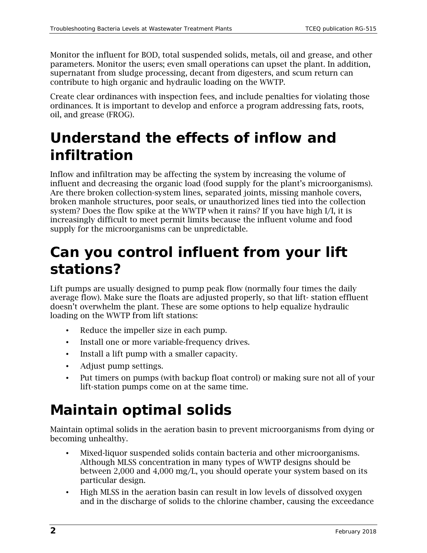Monitor the influent for BOD, total suspended solids, metals, oil and grease, and other parameters. Monitor the users; even small operations can upset the plant. In addition, supernatant from sludge processing, decant from digesters, and scum return can contribute to high organic and hydraulic loading on the WWTP.

Create clear ordinances with inspection fees, and include penalties for violating those ordinances. It is important to develop and enforce a program addressing fats, roots, oil, and grease (FROG).

## **Understand the effects of inflow and infiltration**

Inflow and infiltration may be affecting the system by increasing the volume of influent and decreasing the organic load (food supply for the plant's microorganisms). Are there broken collection-system lines, separated joints, missing manhole covers, broken manhole structures, poor seals, or unauthorized lines tied into the collection system? Does the flow spike at the WWTP when it rains? If you have high I/I, it is increasingly difficult to meet permit limits because the influent volume and food supply for the microorganisms can be unpredictable.

### **Can you control influent from your lift stations?**

Lift pumps are usually designed to pump peak flow (normally four times the daily average flow). Make sure the floats are adjusted properly, so that lift- station effluent doesn't overwhelm the plant. These are some options to help equalize hydraulic loading on the WWTP from lift stations:

- Reduce the impeller size in each pump.
- Install one or more variable-frequency drives.
- Install a lift pump with a smaller capacity.
- Adjust pump settings.
- Put timers on pumps (with backup float control) or making sure not all of your lift-station pumps come on at the same time.

## **Maintain optimal solids**

Maintain optimal solids in the aeration basin to prevent microorganisms from dying or becoming unhealthy.

- Mixed-liquor suspended solids contain bacteria and other microorganisms. Although MLSS concentration in many types of WWTP designs should be between 2,000 and 4,000 mg/L, you should operate your system based on its particular design.
- High MLSS in the aeration basin can result in low levels of dissolved oxygen and in the discharge of solids to the chlorine chamber, causing the exceedance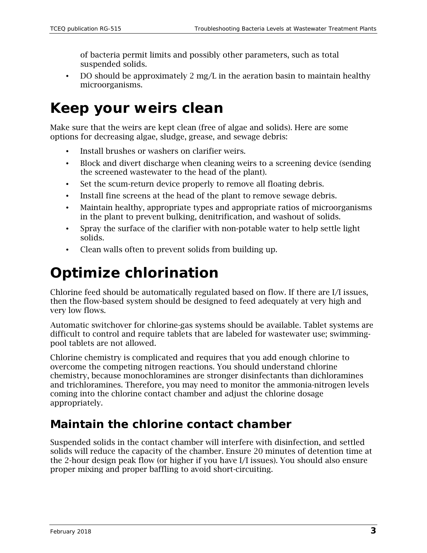of bacteria permit limits and possibly other parameters, such as total suspended solids.

• DO should be approximately 2 mg/L in the aeration basin to maintain healthy microorganisms.

### **Keep your weirs clean**

Make sure that the weirs are kept clean (free of algae and solids). Here are some options for decreasing algae, sludge, grease, and sewage debris:

- Install brushes or washers on clarifier weirs.
- Block and divert discharge when cleaning weirs to a screening device (sending the screened wastewater to the head of the plant).
- Set the scum-return device properly to remove all floating debris.
- Install fine screens at the head of the plant to remove sewage debris.
- Maintain healthy, appropriate types and appropriate ratios of microorganisms in the plant to prevent bulking, denitrification, and washout of solids.
- Spray the surface of the clarifier with non-potable water to help settle light solids.
- Clean walls often to prevent solids from building up.

### **Optimize chlorination**

Chlorine feed should be automatically regulated based on flow. If there are I/I issues, then the flow-based system should be designed to feed adequately at very high and very low flows.

Automatic switchover for chlorine-gas systems should be available. Tablet systems are difficult to control and require tablets that are labeled for wastewater use; swimmingpool tablets are not allowed.

Chlorine chemistry is complicated and requires that you add enough chlorine to overcome the competing nitrogen reactions. You should understand chlorine chemistry, because monochloramines are stronger disinfectants than dichloramines and trichloramines. Therefore, you may need to monitor the ammonia-nitrogen levels coming into the chlorine contact chamber and adjust the chlorine dosage appropriately.

#### **Maintain the chlorine contact chamber**

Suspended solids in the contact chamber will interfere with disinfection, and settled solids will reduce the capacity of the chamber. Ensure 20 minutes of detention time at the 2-hour design peak flow (or higher if you have I/I issues). You should also ensure proper mixing and proper baffling to avoid short-circuiting.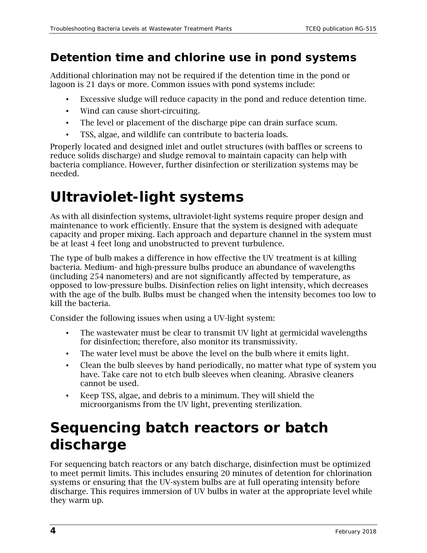#### **Detention time and chlorine use in pond systems**

Additional chlorination may not be required if the detention time in the pond or lagoon is 21 days or more. Common issues with pond systems include:

- Excessive sludge will reduce capacity in the pond and reduce detention time.
- Wind can cause short-circuiting.
- The level or placement of the discharge pipe can drain surface scum.
- TSS, algae, and wildlife can contribute to bacteria loads.

Properly located and designed inlet and outlet structures (with baffles or screens to reduce solids discharge) and sludge removal to maintain capacity can help with bacteria compliance. However, further disinfection or sterilization systems may be needed.

## **Ultraviolet-light systems**

As with all disinfection systems, ultraviolet-light systems require proper design and maintenance to work efficiently. Ensure that the system is designed with adequate capacity and proper mixing. Each approach and departure channel in the system must be at least 4 feet long and unobstructed to prevent turbulence.

The type of bulb makes a difference in how effective the UV treatment is at killing bacteria. Medium- and high-pressure bulbs produce an abundance of wavelengths (including 254 nanometers) and are not significantly affected by temperature, as opposed to low-pressure bulbs. Disinfection relies on light intensity, which decreases with the age of the bulb. Bulbs must be changed when the intensity becomes too low to kill the bacteria.

Consider the following issues when using a UV-light system:

- The wastewater must be clear to transmit UV light at germicidal wavelengths for disinfection; therefore, also monitor its transmissivity.
- The water level must be above the level on the bulb where it emits light.
- Clean the bulb sleeves by hand periodically, no matter what type of system you have. Take care not to etch bulb sleeves when cleaning. Abrasive cleaners cannot be used.
- Keep TSS, algae, and debris to a minimum. They will shield the microorganisms from the UV light, preventing sterilization.

### **Sequencing batch reactors or batch discharge**

For sequencing batch reactors or any batch discharge, disinfection must be optimized to meet permit limits. This includes ensuring 20 minutes of detention for chlorination systems or ensuring that the UV-system bulbs are at full operating intensity before discharge. This requires immersion of UV bulbs in water at the appropriate level while they warm up.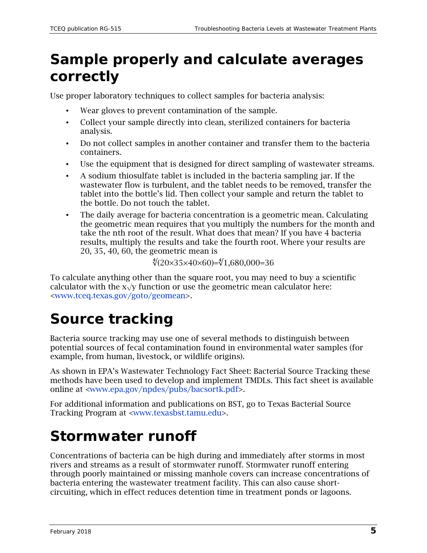### **Sample properly and calculate averages correctly**

Use proper laboratory techniques to collect samples for bacteria analysis:

- Wear gloves to prevent contamination of the sample.
- Collect your sample directly into clean, sterilized containers for bacteria analysis.
- Do not collect samples in another container and transfer them to the bacteria containers.
- Use the equipment that is designed for direct sampling of wastewater streams.
- A sodium thiosulfate tablet is included in the bacteria sampling jar. If the wastewater flow is turbulent, and the tablet needs to be removed, transfer the tablet into the bottle's lid. Then collect your sample and return the tablet to the bottle. Do not touch the tablet.
- The daily average for bacteria concentration is a geometric mean. Calculating the geometric mean requires that you multiply the numbers for the month and take the nth root of the result. What does that mean? If you have 4 bacteria results, multiply the results and take the fourth root. Where your results are 20, 35, 40, 60, the geometric mean is

∜(20×35×40×60)=∜1,680,000=36

To calculate anything other than the square root, you may need to buy a scientific calculator with the  $x\sqrt{y}$  function or use the geometric mean calculator here: [<www.tceq.texas.gov/goto/geomean>](http://www.tceq.texas.gov/goto/geomean).

## **Source tracking**

Bacteria source tracking may use one of several methods to distinguish between potential sources of fecal contamination found in environmental water samples (for example, from human, livestock, or wildlife origins).

As shown in EPA's Wastewater Technology Fact Sheet: Bacterial Source Tracking these methods have been used to develop and implement TMDLs. This fact sheet is available online at [<www.epa.gov/npdes/pubs/bacsortk.pdf>](http://www.epa.gov/npdes/pubs/bacsortk.pdf).

For additional information and publications on BST, go to Texas Bacterial Source Tracking Program at [<www.texasbst.tamu.edu>](http://www.texasbst.tamu.edu/).

### **Stormwater runoff**

Concentrations of bacteria can be high during and immediately after storms in most rivers and streams as a result of stormwater runoff. Stormwater runoff entering through poorly maintained or missing manhole covers can increase concentrations of bacteria entering the wastewater treatment facility. This can also cause shortcircuiting, which in effect reduces detention time in treatment ponds or lagoons.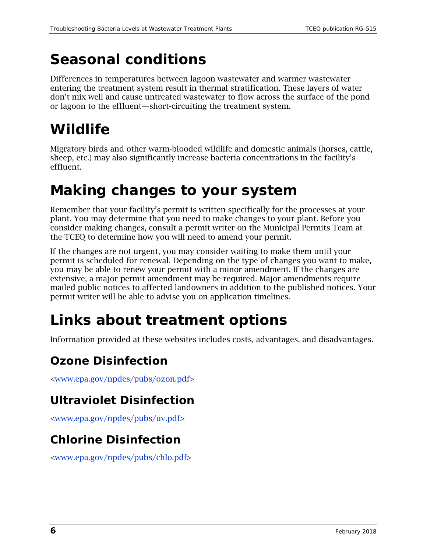## **Seasonal conditions**

Differences in temperatures between lagoon wastewater and warmer wastewater entering the treatment system result in thermal stratification. These layers of water don't mix well and cause untreated wastewater to flow across the surface of the pond or lagoon to the effluent—short-circuiting the treatment system.

## **Wildlife**

Migratory birds and other warm-blooded wildlife and domestic animals (horses, cattle, sheep, etc.) may also significantly increase bacteria concentrations in the facility's effluent.

## **Making changes to your system**

Remember that your facility's permit is written specifically for the processes at your plant. You may determine that you need to make changes to your plant. Before you consider making changes, consult a permit writer on the Municipal Permits Team at the TCEQ to determine how you will need to amend your permit.

If the changes are not urgent, you may consider waiting to make them until your permit is scheduled for renewal. Depending on the type of changes you want to make, you may be able to renew your permit with a minor amendment. If the changes are extensive, a major permit amendment may be required. Major amendments require mailed public notices to affected landowners in addition to the published notices. Your permit writer will be able to advise you on application timelines.

## **Links about treatment options**

Information provided at these websites includes costs, advantages, and disadvantages.

#### **Ozone Disinfection**

[<www.epa.gov/npdes/pubs/ozon.pdf>](http://www.epa.gov/npdes/pubs/ozon.pdf)

#### **Ultraviolet Disinfection**

[<www.epa.gov/npdes/pubs/uv.pdf>](http://www.epa.gov/npdes/pubs/uv.pdf)

#### **Chlorine Disinfection**

[<www.epa.gov/npdes/pubs/chlo.pdf>](http://www.epa.gov/npdes/pubs/chlo.pdf)